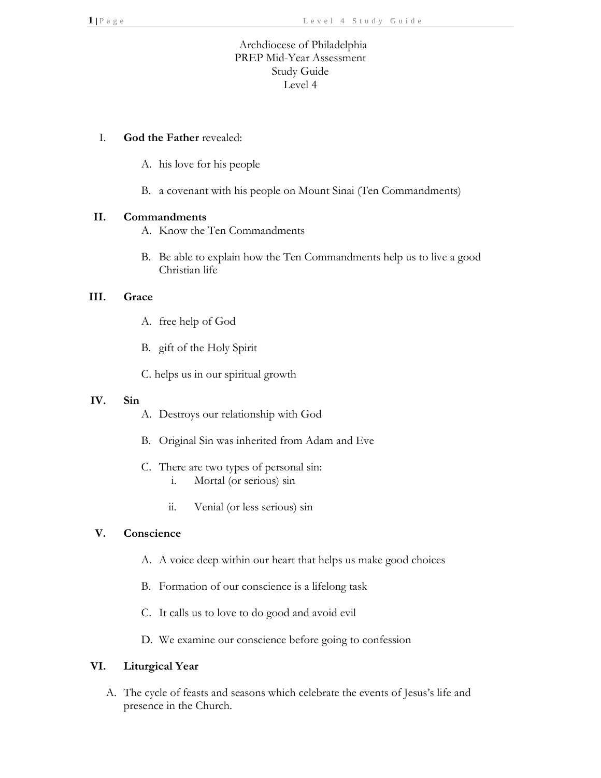# Archdiocese of Philadelphia PREP Mid-Year Assessment Study Guide Level 4

## I. **God the Father** revealed:

- A. his love for his people
- B. a covenant with his people on Mount Sinai (Ten Commandments)

#### **II. Commandments**

- A. Know the Ten Commandments
- B. Be able to explain how the Ten Commandments help us to live a good Christian life

## **III. Grace**

- A. free help of God
- B. gift of the Holy Spirit

C. helps us in our spiritual growth

#### **IV. Sin**

- A. Destroys our relationship with God
- B. Original Sin was inherited from Adam and Eve
- C. There are two types of personal sin: i. Mortal (or serious) sin
	- ii. Venial (or less serious) sin

## **V. Conscience**

- A. A voice deep within our heart that helps us make good choices
- B. Formation of our conscience is a lifelong task
- C. It calls us to love to do good and avoid evil
- D. We examine our conscience before going to confession

## **VI. Liturgical Year**

A. The cycle of feasts and seasons which celebrate the events of Jesus's life and presence in the Church.